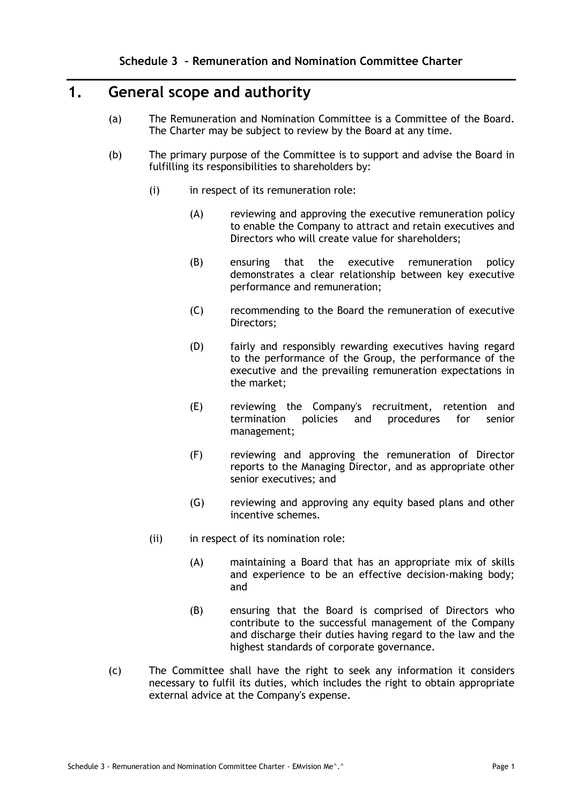# **1. General scope and authority**

- (a) The Remuneration and Nomination Committee is a Committee of the Board. The Charter may be subject to review by the Board at any time.
- (b) The primary purpose of the Committee is to support and advise the Board in fulfilling its responsibilities to shareholders by:
	- (i) in respect of its remuneration role:
		- (A) reviewing and approving the executive remuneration policy to enable the Company to attract and retain executives and Directors who will create value for shareholders;
		- (B) ensuring that the executive remuneration policy demonstrates a clear relationship between key executive performance and remuneration;
		- (C) recommending to the Board the remuneration of executive Directors;
		- (D) fairly and responsibly rewarding executives having regard to the performance of the Group, the performance of the executive and the prevailing remuneration expectations in the market;
		- (E) reviewing the Company's recruitment, retention and termination policies and procedures for senior management;
		- (F) reviewing and approving the remuneration of Director reports to the Managing Director, and as appropriate other senior executives; and
		- (G) reviewing and approving any equity based plans and other incentive schemes.
	- (ii) in respect of its nomination role:
		- (A) maintaining a Board that has an appropriate mix of skills and experience to be an effective decision-making body; and
		- (B) ensuring that the Board is comprised of Directors who contribute to the successful management of the Company and discharge their duties having regard to the law and the highest standards of corporate governance.
- (c) The Committee shall have the right to seek any information it considers necessary to fulfil its duties, which includes the right to obtain appropriate external advice at the Company's expense.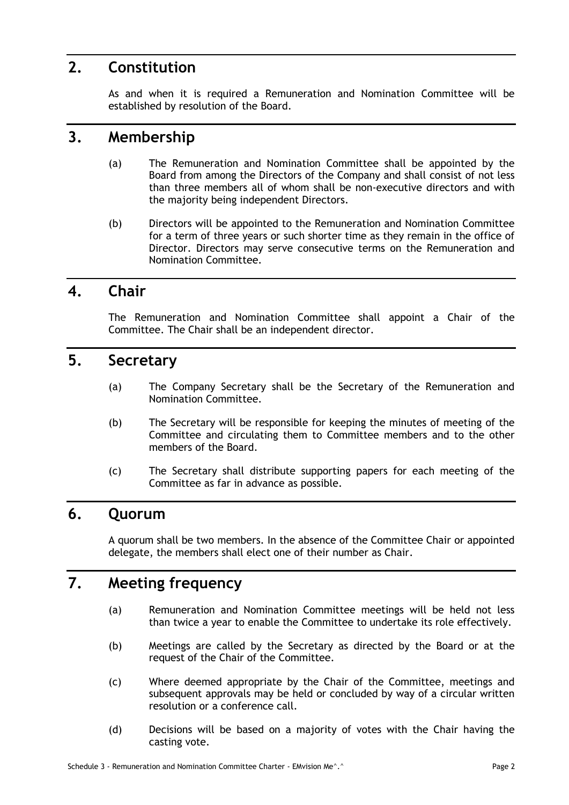## **2. Constitution**

As and when it is required a Remuneration and Nomination Committee will be established by resolution of the Board.

#### **3. Membership**

- (a) The Remuneration and Nomination Committee shall be appointed by the Board from among the Directors of the Company and shall consist of not less than three members all of whom shall be non-executive directors and with the majority being independent Directors.
- (b) Directors will be appointed to the Remuneration and Nomination Committee for a term of three years or such shorter time as they remain in the office of Director. Directors may serve consecutive terms on the Remuneration and Nomination Committee.

## **4. Chair**

The Remuneration and Nomination Committee shall appoint a Chair of the Committee. The Chair shall be an independent director.

## **5. Secretary**

- (a) The Company Secretary shall be the Secretary of the Remuneration and Nomination Committee.
- (b) The Secretary will be responsible for keeping the minutes of meeting of the Committee and circulating them to Committee members and to the other members of the Board.
- (c) The Secretary shall distribute supporting papers for each meeting of the Committee as far in advance as possible.

### **6. Quorum**

A quorum shall be two members. In the absence of the Committee Chair or appointed delegate, the members shall elect one of their number as Chair.

# **7. Meeting frequency**

- (a) Remuneration and Nomination Committee meetings will be held not less than twice a year to enable the Committee to undertake its role effectively.
- (b) Meetings are called by the Secretary as directed by the Board or at the request of the Chair of the Committee.
- (c) Where deemed appropriate by the Chair of the Committee, meetings and subsequent approvals may be held or concluded by way of a circular written resolution or a conference call.
- (d) Decisions will be based on a majority of votes with the Chair having the casting vote.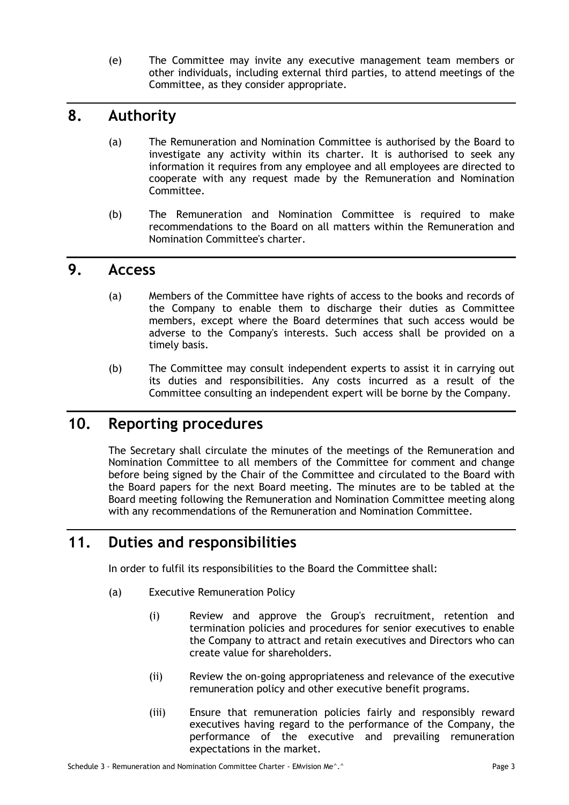(e) The Committee may invite any executive management team members or other individuals, including external third parties, to attend meetings of the Committee, as they consider appropriate.

# **8. Authority**

- (a) The Remuneration and Nomination Committee is authorised by the Board to investigate any activity within its charter. It is authorised to seek any information it requires from any employee and all employees are directed to cooperate with any request made by the Remuneration and Nomination Committee.
- (b) The Remuneration and Nomination Committee is required to make recommendations to the Board on all matters within the Remuneration and Nomination Committee's charter.

### **9. Access**

- (a) Members of the Committee have rights of access to the books and records of the Company to enable them to discharge their duties as Committee members, except where the Board determines that such access would be adverse to the Company's interests. Such access shall be provided on a timely basis.
- (b) The Committee may consult independent experts to assist it in carrying out its duties and responsibilities. Any costs incurred as a result of the Committee consulting an independent expert will be borne by the Company.

# **10. Reporting procedures**

The Secretary shall circulate the minutes of the meetings of the Remuneration and Nomination Committee to all members of the Committee for comment and change before being signed by the Chair of the Committee and circulated to the Board with the Board papers for the next Board meeting. The minutes are to be tabled at the Board meeting following the Remuneration and Nomination Committee meeting along with any recommendations of the Remuneration and Nomination Committee.

# **11. Duties and responsibilities**

In order to fulfil its responsibilities to the Board the Committee shall:

- (a) Executive Remuneration Policy
	- (i) Review and approve the Group's recruitment, retention and termination policies and procedures for senior executives to enable the Company to attract and retain executives and Directors who can create value for shareholders.
	- (ii) Review the on-going appropriateness and relevance of the executive remuneration policy and other executive benefit programs.
	- (iii) Ensure that remuneration policies fairly and responsibly reward executives having regard to the performance of the Company, the performance of the executive and prevailing remuneration expectations in the market.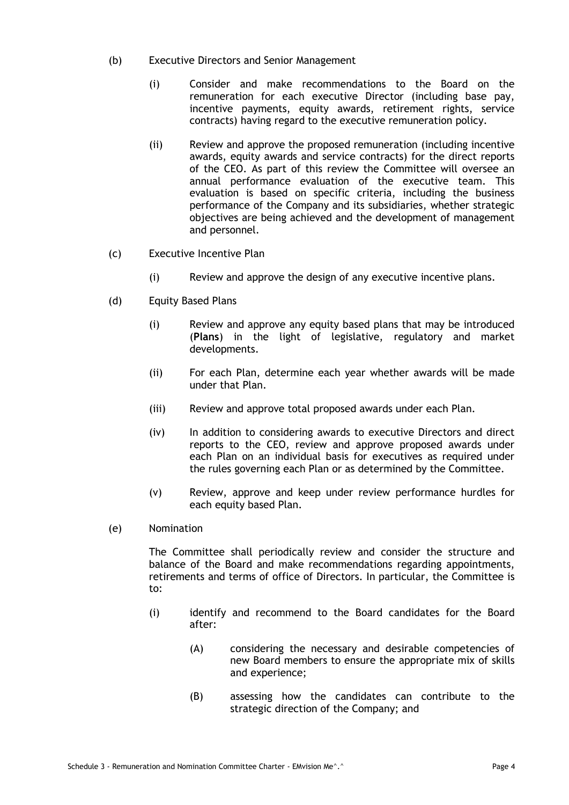- (b) Executive Directors and Senior Management
	- (i) Consider and make recommendations to the Board on the remuneration for each executive Director (including base pay, incentive payments, equity awards, retirement rights, service contracts) having regard to the executive remuneration policy.
	- (ii) Review and approve the proposed remuneration (including incentive awards, equity awards and service contracts) for the direct reports of the CEO. As part of this review the Committee will oversee an annual performance evaluation of the executive team. This evaluation is based on specific criteria, including the business performance of the Company and its subsidiaries, whether strategic objectives are being achieved and the development of management and personnel.
- (c) Executive Incentive Plan
	- (i) Review and approve the design of any executive incentive plans.
- (d) Equity Based Plans
	- (i) Review and approve any equity based plans that may be introduced (**Plans**) in the light of legislative, regulatory and market developments.
	- (ii) For each Plan, determine each year whether awards will be made under that Plan.
	- (iii) Review and approve total proposed awards under each Plan.
	- (iv) In addition to considering awards to executive Directors and direct reports to the CEO, review and approve proposed awards under each Plan on an individual basis for executives as required under the rules governing each Plan or as determined by the Committee.
	- (v) Review, approve and keep under review performance hurdles for each equity based Plan.
- (e) Nomination

The Committee shall periodically review and consider the structure and balance of the Board and make recommendations regarding appointments, retirements and terms of office of Directors. In particular, the Committee is to:

- (i) identify and recommend to the Board candidates for the Board after:
	- (A) considering the necessary and desirable competencies of new Board members to ensure the appropriate mix of skills and experience;
	- (B) assessing how the candidates can contribute to the strategic direction of the Company; and